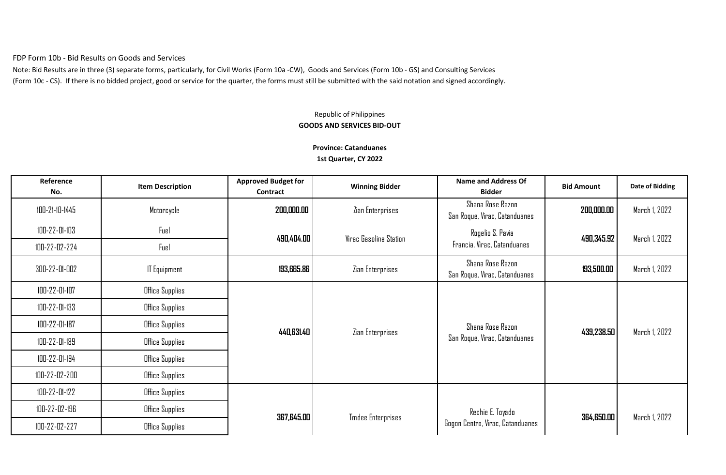FDP Form 10b - Bid Results on Goods and Services

Note: Bid Results are in three (3) separate forms, particularly, for Civil Works (Form 10a -CW), Goods and Services (Form 10b - GS) and Consulting Services (Form 10c - CS). If there is no bidded project, good or service for the quarter, the forms must still be submitted with the said notation and signed accordingly.

## Republic of Philippines **GOODS AND SERVICES BID-OUT**

## **Province: Catanduanes**

**1st Quarter, CY 2022**

| Reference<br>No. | <b>Item Description</b> | <b>Approved Budget for</b><br>Contract | <b>Winning Bidder</b>    | <b>Name and Address Of</b><br><b>Bidder</b>       | <b>Bid Amount</b> | <b>Date of Bidding</b> |
|------------------|-------------------------|----------------------------------------|--------------------------|---------------------------------------------------|-------------------|------------------------|
| 100-21-10-1445   | Motorcycle              | 200,000.00                             | Zian Enterprises         | Shana Rose Razon<br>San Roque, Virac, Catanduanes | 200,000.00        | March 1, 2022          |
| 100-22-01-103    | Fuel                    | 490,404.00                             | Virac Gasoline Station   | Rogelio S. Pavia                                  | 490,345.92        | March 1, 2022          |
| 100-22-02-224    | Fuel                    |                                        |                          | Francia, Virac, Catanduanes                       |                   |                        |
| 300-22-01-002    | <b>IT Equipment</b>     | 193,665.86                             | Zian Enterprises         | Shana Rose Razon<br>San Roque, Virac, Catanduanes | 193,500.00        | March 1, 2022          |
| 100-22-01-107    | Office Supplies         |                                        |                          |                                                   |                   |                        |
| 100-22-01-133    | Office Supplies         |                                        |                          |                                                   |                   |                        |
| 100-22-01-187    | Office Supplies         | 440,631.40                             | Zian Enterprises         | Shana Rose Razon                                  | 439,238.50        | March 1, 2022          |
| 100-22-01-189    | Office Supplies         |                                        |                          | San Roque, Virac, Catanduanes                     |                   |                        |
| 100-22-01-194    | Office Supplies         |                                        |                          |                                                   |                   |                        |
| 100-22-02-200    | Office Supplies         |                                        |                          |                                                   |                   |                        |
| 100-22-01-122    | Office Supplies         |                                        |                          |                                                   |                   |                        |
| 100-22-02-196    | Office Supplies         | 367,645.00                             | <b>Tmdee Enterprises</b> | Rechie E. Toyado                                  | 364,650.00        | March 1, 2022          |
| 100-22-02-227    | Office Supplies         |                                        |                          | Gogon Centro, Virac, Catanduanes                  |                   |                        |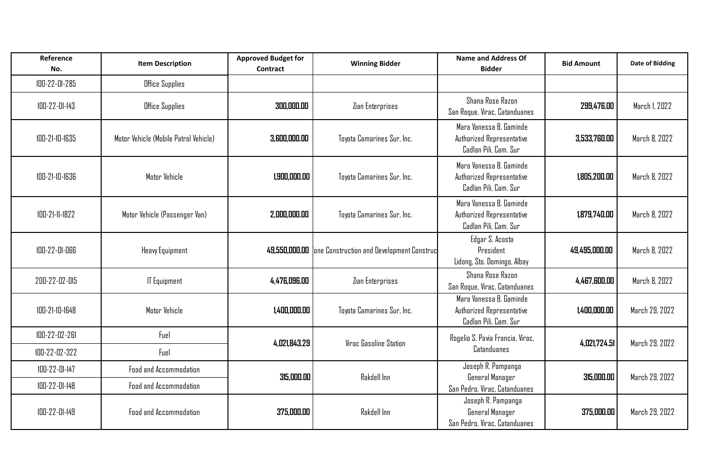| Reference<br>No. | <b>Item Description</b>               | <b>Approved Budget for</b><br>Contract | <b>Winning Bidder</b>                                    | <b>Name and Address Of</b><br><b>Bidder</b>                                   | <b>Bid Amount</b> | <b>Date of Bidding</b> |
|------------------|---------------------------------------|----------------------------------------|----------------------------------------------------------|-------------------------------------------------------------------------------|-------------------|------------------------|
| 100-22-01-285    | Office Supplies                       |                                        |                                                          |                                                                               |                   |                        |
| 100-22-01-143    | Office Supplies                       | 300,000,00                             | Zian Enterprises                                         | Shana Rose Razon<br>San Roque, Virac, Catanduanes                             | 299,476.00        | March 1, 2022          |
| 100-21-10-1635   | Motor Vehicle (Mobile Patrol Vehicle) | 3.600.000.00                           | Toyota Camarines Sur, Inc.                               | Mara Vanessa B. Gaminde<br>Authorized Representative<br>Cadlan Pili, Cam. Sur | 3,533,760.00      | March 8, 2022          |
| 100-21-10-1636   | Motor Vehicle                         | 1,900,000.00                           | Toyota Camarines Sur, Inc.                               | Mara Vanessa B. Gaminde<br>Authorized Representative<br>Cadlan Pili, Cam. Sur | 1,805,200.00      | March 8, 2022          |
| 100-21-11-1822   | Motor Vehicle (Passenger Van)         | 2,000,000.00                           | Toyota Camarines Sur, Inc.                               | Mara Vanessa B. Gaminde<br>Authorized Representative<br>Cadlan Pili, Cam, Sur | 1,879,740.00      | March 8, 2022          |
| 100-22-01-066    | Heavy Equipment                       |                                        | 49,550,000.00 fone Construction and Development Construc | Edgar S. Acosta<br>President<br>Lidong, Sto. Domingo, Albay                   | 49,495,000.00     | March 8, 2022          |
| 200-22-02-015    | <b>IT Equipment</b>                   | 4,476,096.00                           | Zian Enterprises                                         | Shana Rose Razon<br>San Roque, Virac, Catanduanes                             | 4,467,600.00      | March 8, 2022          |
| 100-21-10-1648   | Motor Vehicle                         | 1,400,000.00                           | Toyota Camarines Sur, Inc.                               | Mara Vanessa B. Gaminde<br>Authorized Representative<br>Cadlan Pili, Cam. Sur | 1,400,000.00      | March 29, 2022         |
| 100-22-02-261    | Fuel                                  | 4.021.843.29                           | <b>Virac Gasoline Station</b>                            | Rogelio S. Pavia Francia, Virac,                                              | 4,021,724.51      | March 29, 2022         |
| 100-22-02-322    | Fuel                                  |                                        |                                                          | <b>Catanduanes</b>                                                            |                   |                        |
| 100-22-01-147    | Food and Accommodation                | 315,000.00                             | Rakdell Inn                                              | Joseph R. Pampanga<br>General Manager                                         | 315,000.00        | March 29, 2022         |
| 100-22-01-148    | Food and Accommodation                |                                        |                                                          | San Pedro, Virac, Catanduanes                                                 |                   |                        |
| 100-22-01-149    | <b>Food and Accommodation</b>         | 375,000.00                             | Rakdell Inn                                              | Joseph R. Pampanga<br>General Manager<br>San Pedro, Virac, Catanduanes        | 375,000.00        | March 29, 2022         |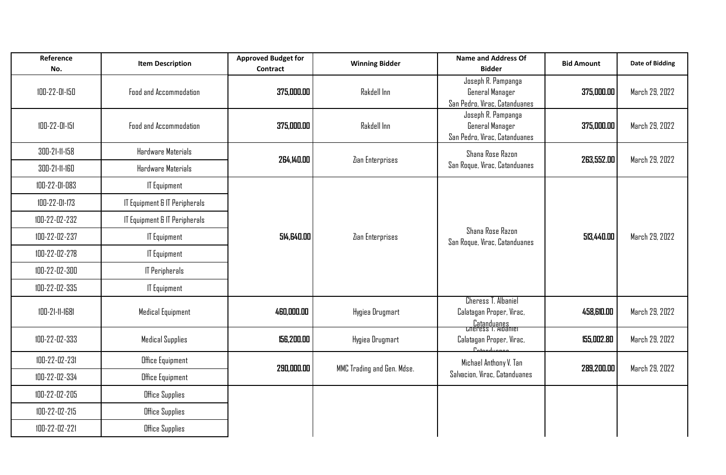| Reference<br>No. | <b>Item Description</b>       | <b>Approved Budget for</b><br><b>Contract</b> | <b>Winning Bidder</b>      | <b>Name and Address Of</b><br><b>Bidder</b>                                            | <b>Bid Amount</b> | <b>Date of Bidding</b> |
|------------------|-------------------------------|-----------------------------------------------|----------------------------|----------------------------------------------------------------------------------------|-------------------|------------------------|
| 100-22-01-150    | Food and Accommodation        | 375,000.00                                    | Rakdell Inn                | Joseph R. Pampanga<br>General Manager<br>San Pedro, Virac, Catanduanes                 | 375,000.00        | March 29, 2022         |
| 100-22-01-151    | Food and Accommodation        | 375,000.00                                    | Rakdell Inn                | Joseph R. Pampanga<br>General Manager<br>San Pedro, Virac, Catanduanes                 | 375,000.00        | March 29, 2022         |
| 300-21-11-158    | Hardware Materials            | 264,140.00                                    | Zian Enterprises           | Shana Rose Razon<br>San Roque, Virac, Catanduanes                                      | 263,552.00        | March 29, 2022         |
| 300-21-11-160    | Hardware Materials            |                                               |                            |                                                                                        |                   |                        |
| 100-22-01-083    | <b>IT Equipment</b>           |                                               | Zian Enterprises           | Shana Rose Razon<br>San Roque, Virac, Catanduanes                                      | 513,440.00        | March 29, 2022         |
| 100-22-01-173    | IT Equipment & IT Peripherals |                                               |                            |                                                                                        |                   |                        |
| 100-22-02-232    | IT Equipment & IT Peripherals | 514,640.00                                    |                            |                                                                                        |                   |                        |
| 100-22-02-237    | <b>IT Equipment</b>           |                                               |                            |                                                                                        |                   |                        |
| 100-22-02-278    | <b>IT Equipment</b>           |                                               |                            |                                                                                        |                   |                        |
| 100-22-02-300    | <b>IT Peripherals</b>         |                                               |                            |                                                                                        |                   |                        |
| 100-22-02-335    | <b>IT Equipment</b>           |                                               |                            |                                                                                        |                   |                        |
| 100-21-11-1681   | Medical Equipment             | 460,000.00                                    | Hygiea Drugmart            | Cheress T. Albaniel<br>Calatagan Proper, Virac,<br>Catanduanes<br>Coneress T. Albanier | 458,610.00        | March 29, 2022         |
| 100-22-02-333    | <b>Medical Supplies</b>       | 156,200.00                                    | Hygiea Drugmart            | Calatagan Proper, Virac,<br>$P_{-1} = 1.$                                              | 155,002.80        | March 29, 2022         |
| 100-22-02-231    | <b>Office Equipment</b>       | 290,000.00                                    | MMC Trading and Gen. Mdse. | Michael Anthony V. Tan<br>Salvacion, Virac, Catanduanes                                | 289,200.00        | March 29, 2022         |
| 100-22-02-334    | <b>Office Equipment</b>       |                                               |                            |                                                                                        |                   |                        |
| 100-22-02-205    | Office Supplies               |                                               |                            |                                                                                        |                   |                        |
| 100-22-02-215    | Office Supplies               |                                               |                            |                                                                                        |                   |                        |
| 100-22-02-221    | Office Supplies               |                                               |                            |                                                                                        |                   |                        |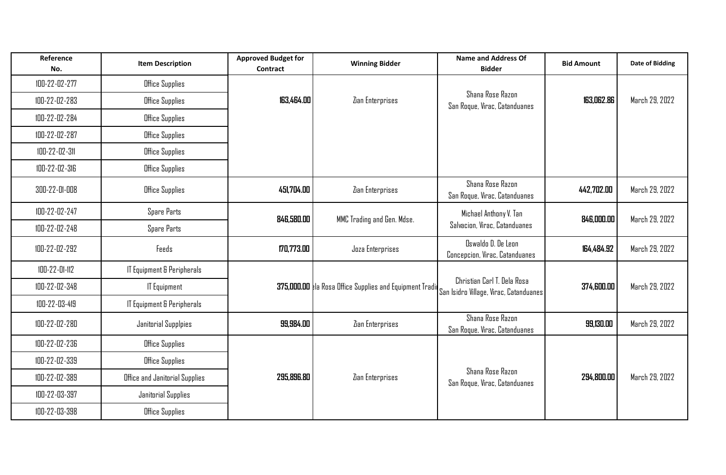| Reference<br>No. | <b>Item Description</b>        | <b>Approved Budget for</b><br><b>Contract</b> | <b>Winning Bidder</b>                                    | <b>Name and Address Of</b><br><b>Bidder</b>                           | <b>Bid Amount</b> | <b>Date of Bidding</b> |
|------------------|--------------------------------|-----------------------------------------------|----------------------------------------------------------|-----------------------------------------------------------------------|-------------------|------------------------|
| 100-22-02-277    | Office Supplies                |                                               |                                                          |                                                                       |                   |                        |
| 100-22-02-283    | Office Supplies                | 163,464.00                                    | Zian Enterprises                                         | <b>Shana Rose Razon</b><br>San Roque, Virac, Catanduanes              | 163,062.86        | March 29, 2022         |
| 100-22-02-284    | Office Supplies                |                                               |                                                          |                                                                       |                   |                        |
| 100-22-02-287    | <b>Office Supplies</b>         |                                               |                                                          |                                                                       |                   |                        |
| 100-22-02-311    | <b>Office Supplies</b>         |                                               |                                                          |                                                                       |                   |                        |
| 100-22-02-316    | Office Supplies                |                                               |                                                          |                                                                       |                   |                        |
| 300-22-01-008    | Office Supplies                | 451,704.00                                    | Zian Enterprises                                         | Shana Rose Razon<br>San Roque, Virac, Catanduanes                     | 442,702.00        | March 29, 2022         |
| 100-22-02-247    | Spare Parts                    | 846,580.00                                    | MMC Trading and Gen. Mdse.                               | Michael Anthony V. Tan                                                | 846,000.00        | March 29, 2022         |
| 100-22-02-248    | Spare Parts                    |                                               |                                                          | Salvacion, Virac, Catanduanes                                         |                   |                        |
| 100-22-02-292    | Feeds                          | 170,773.00                                    | Joza Enterprises                                         | Oswaldo D. De Leon<br>Concepcion, Virac, Catanduanes                  | 164,484.92        | March 29, 2022         |
| 100-22-01-112    | IT Equipment & Peripherals     |                                               |                                                          |                                                                       |                   |                        |
| 100-22-02-348    | <b>IT Equipment</b>            |                                               | 375,000.00 kla Rosa Office Supplies and Equipment Tradit | Christian Carl T. Dela Rosa<br>San Isidro Village, Virac, Catanduanes | 374,600.00        | March 29, 2022         |
| 100-22-03-419    | IT Equipment & Peripherals     |                                               |                                                          |                                                                       |                   |                        |
| 100-22-02-280    | Janitorial Supplpies           | 99,984.00                                     | Zian Enterprises                                         | <b>Shana Rose Razon</b><br>San Roque, Virac, Catanduanes              | 99,130.00         | March 29, 2022         |
| 100-22-02-236    | Office Supplies                |                                               |                                                          |                                                                       |                   |                        |
| 100-22-02-339    | Office Supplies                |                                               |                                                          |                                                                       |                   |                        |
| 100-22-02-389    | Office and Janitorial Supplies | 295,896.80                                    | Zian Enterprises                                         | <b>Shana Rose Razon</b><br>San Roque, Virac, Catanduanes              | 294,800.00        | March 29, 2022         |
| 100-22-03-397    | Janitorial Supplies            |                                               |                                                          |                                                                       |                   |                        |
| 100-22-03-398    | Office Supplies                |                                               |                                                          |                                                                       |                   |                        |